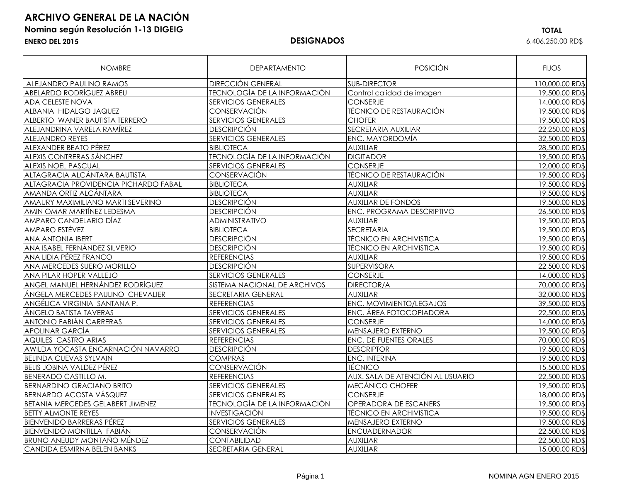## **ARCHIVO GENERAL DE LA NACIÓN**

### **Nomina según Resolución 1-13 DIGEIG TOTAL ENERO DEL 2015 DESIGNADOS** 6,406,250.00 RD\$

| <b>NOMBRE</b>                            | <b>DEPARTAMENTO</b>                   | POSICIÓN                         | <b>FIJOS</b>    |
|------------------------------------------|---------------------------------------|----------------------------------|-----------------|
| ALEJANDRO PAULINO RAMOS                  | <b>DIRECCIÓN GENERAL</b>              | <b>SUB-DIRECTOR</b>              | 110,000.00 RD\$ |
| <b>ABELARDO RODRÍGUEZ ABREU</b>          | <b>TECNOLOGÍA DE LA INFORMACIÓN</b>   | Control calidad de imagen        | 19,500.00 RD\$  |
| <b>ADA CELESTE NOVA</b>                  | <b>SERVICIOS GENERALES</b>            | <b>CONSERJE</b>                  | 14,000.00 RD\$  |
| ALBANIA HIDALGO JAQUEZ                   | CONSERVACIÓN                          | TÉCNICO DE RESTAURACIÓN          | 19,500.00 RD\$  |
| ALBERTO WANER BAUTISTA TERRERO           | <b>SERVICIOS GENERALES</b>            | <b>CHOFER</b>                    | 19,500.00 RD\$  |
| ALEJANDRINA VARELA RAMÍREZ               | <b>DESCRIPCIÓN</b>                    | SECRETARIA AUXILIAR              | 22,250.00 RD\$  |
| <b>ALEJANDRO REYES</b>                   | <b>SERVICIOS GENERALES</b>            | ENC. MAYORDOMIA                  | 32,500.00 RD\$  |
| ALEXANDER BEATO PÉREZ                    | <b>BIBLIOTECA</b>                     | <b>AUXILIAR</b>                  | 28,500.00 RD\$  |
| ALEXIS CONTRERAS SÁNCHEZ                 | <b>TECNOLOGÍA DE LA INFORMACIÓN</b>   | <b>DIGITADOR</b>                 | 19,500.00 RD\$  |
| <b>ALEXIS NOEL PASCUAL</b>               | <b>SERVICIOS GENERALES</b>            | <b>CONSERJE</b>                  | 12,000.00 RD\$  |
| ALTAGRACIA ALCÁNTARA BAUTISTA            | CONSERVACIÓN                          | TÉCNICO DE RESTAURACIÓN          | 19,500.00 RD\$  |
| ALTAGRACIA PROVIDENCIA PICHARDO FABAL    | <b>BIBLIOTECA</b>                     | <b>AUXILIAR</b>                  | 19,500.00 RD\$  |
| AMANDA ORTIZ ALCÁNTARA                   | <b>BIBLIOTECA</b>                     | <b>AUXILIAR</b>                  | 19,500.00 RD\$  |
| AMAURY MAXIMILIANO MARTI SEVERINO        | <b>DESCRIPCIÓN</b>                    | <b>AUXILIAR DE FONDOS</b>        | 19,500.00 RD\$  |
| AMIN OMAR MARTINEZ LEDESMA               | <b>DESCRIPCIÓN</b>                    | ENC. PROGRAMA DESCRIPTIVO        | 26,500.00 RD\$  |
| AMPARO CANDELARIO DÍAZ                   | ADMINISTRATIVO                        | <b>AUXILIAR</b>                  | 19,500.00 RD\$  |
| <b>AMPARO ESTÉVEZ</b>                    | <b>BIBLIOTECA</b>                     | <b>SECRETARIA</b>                | 19,500.00 RD\$  |
| <b>ANA ANTONIA IBERT</b>                 | <b>DESCRIPCIÓN</b>                    | <b>TÉCNICO EN ARCHIVISTICA</b>   | 19,500.00 RD\$  |
| ANA ISABEL FERNÁNDEZ SILVERIO            | <b>DESCRIPCIÓN</b>                    | <b>TÉCNICO EN ARCHIVISTICA</b>   | 19,500.00 RD\$  |
| ANA LIDIA PÉREZ FRANCO                   | <b>REFERENCIAS</b>                    | <b>AUXILIAR</b>                  | 19,500.00 RD\$  |
| ANA MERCEDES SUERO MORILLO               | <b>DESCRIPCIÓN</b>                    | <b>SUPERVISORA</b>               | 22,500.00 RD\$  |
| ANA PILAR HOPER VALLEJO                  | <b>SERVICIOS GENERALES</b>            | <b>CONSERJE</b>                  | 14,000.00 RD\$  |
| ANGEL MANUEL HERNÁNDEZ RODRÍGUEZ         | SISTEMA NACIONAL DE ARCHIVOS          | DIRECTOR/A                       | 70,000.00 RD\$  |
| ÁNGELA MERCEDES PAULINO CHEVALIER        | <b>AUXILIAR</b><br>SECRETARIA GENERAL |                                  | 32,000.00 RD\$  |
| ANGÉLICA VIRGINIA SANTANA P.             | <b>REFERENCIAS</b>                    | ENC. MOVIMIENTO/LEGAJOS          | 39,500,00 RD\$  |
| ÁNGELO BATISTA TAVERAS                   | <b>SERVICIOS GENERALES</b>            | ENC. ÁREA FOTOCOPIADORA          | 22,500.00 RD\$  |
| ANTONIO FABIÁN CARRERAS                  | <b>SERVICIOS GENERALES</b>            | CONSERJE                         | 14,000.00 RD\$  |
| <b>APOLINAR GARCÍA</b>                   | <b>SERVICIOS GENERALES</b>            | MENSAJERO EXTERNO                | 19,500.00 RD\$  |
| <b>AQUILES CASTRO ARIAS</b>              | <b>REFERENCIAS</b>                    | ENC. DE FUENTES ORALES           | 70,000.00 RD\$  |
| AWILDA YOCASTA ENCARNACIÓN NAVARRO       | <b>DESCRIPCIÓN</b>                    | <b>DESCRIPTOR</b>                | 19,500.00 RD\$  |
| <b>BELINDA CUEVAS SYLVAIN</b>            | <b>COMPRAS</b>                        | ENC. INTERINA                    | 19,500.00 RD\$  |
| <b>BELIS JOBINA VALDEZ PÉREZ</b>         | <b>CONSERVACIÓN</b>                   | <b>TÉCNICO</b>                   | 15,500.00 RD\$  |
| <b>BENERADO CASTILLO M.</b>              | <b>REFERENCIAS</b>                    | AUX. SALA DE ATENCIÓN AL USUARIO | 22,500.00 RD\$  |
| <b>BERNARDINO GRACIANO BRITO</b>         | <b>SERVICIOS GENERALES</b>            | MECÁNICO CHOFER                  | 19,500.00 RD\$  |
| <b>BERNARDO ACOSTA VÁSQUEZ</b>           | <b>SERVICIOS GENERALES</b>            | <b>CONSERJE</b>                  | 18,000.00 RD\$  |
| <b>BETANIA MERCEDES GELABERT JIMENEZ</b> | <b>TECNOLOGÍA DE LA INFORMACIÓN</b>   | OPERADORA DE ESCANERS            | 19,500.00 RD\$  |
| <b>BETTY ALMONTE REYES</b>               | <b>INVESTIGACIÓN</b>                  | <b>TÉCNICO EN ARCHIVISTICA</b>   | 19,500.00 RD\$  |
| <b>BIENVENIDO BARRERAS PÉREZ</b>         | <b>SERVICIOS GENERALES</b>            | MENSAJERO EXTERNO                | 19,500.00 RD\$  |
| <b>BIENVENIDO MONTILLA FABIÁN</b>        | CONSERVACIÓN                          | <b>ENCUADERNADOR</b>             | 22,500.00 RD\$  |
| <b>BRUNO ANEUDY MONTAÑO MÉNDEZ</b>       | <b>CONTABILIDAD</b>                   | <b>AUXILIAR</b>                  | 22,500.00 RD\$  |
| CANDIDA ESMIRNA BELEN BANKS              | <b>SECRETARIA GENERAL</b>             | <b>AUXILIAR</b>                  | 15,000.00 RD\$  |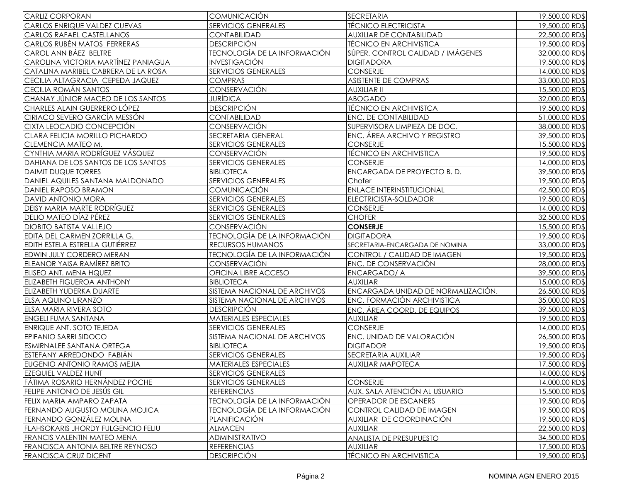| <b>CARLIZ CORPORAN</b>                    | <b>COMUNICACIÓN</b>                 | <b>SECRETARIA</b>                  | 19,500.00 RD\$ |
|-------------------------------------------|-------------------------------------|------------------------------------|----------------|
| <b>CARLOS ENRIQUE VALDEZ CUEVAS</b>       | <b>SERVICIOS GENERALES</b>          | <b>TÉCNICO ELECTRICISTA</b>        | 19,500.00 RD\$ |
| <b>CARLOS RAFAEL CASTELLANOS</b>          | <b>CONTABILIDAD</b>                 | AUXILIAR DE CONTABILIDAD           |                |
| CARLOS RUBÉN MATOS FERRERAS               | <b>DESCRIPCIÓN</b>                  | TÉCNICO EN ARCHIVISTICA            |                |
| CAROL ANN BÁEZ BELTRE                     | <b>TECNOLOGÍA DE LA INFORMACIÓN</b> | SÚPER. CONTROL CALIDAD / IMÁGENES  |                |
| CAROLINA VICTORIA MARTÍNEZ PANIAGUA       | <b>INVESTIGACIÓN</b>                | <b>DIGITADORA</b>                  | 19,500.00 RD\$ |
| CATALINA MARIBEL CABRERA DE LA ROSA       | <b>SERVICIOS GENERALES</b>          | <b>CONSERJE</b>                    | 14,000.00 RD\$ |
| CECILIA ALTAGRACIA CEPEDA JAQUEZ          | <b>COMPRAS</b>                      | ASISTENTE DE COMPRAS               | 33,000.00 RD\$ |
| CECILIA ROMÁN SANTOS                      | CONSERVACIÓN                        | <b>AUXILIAR II</b>                 | 15,500.00 RD\$ |
| CHANAY JÚNIOR MACEO DE LOS SANTOS         | <b>JURÍDICA</b>                     | ABOGADO                            | 32,000.00 RD\$ |
| CHARLES ALAIN GUERRERO LÓPEZ              | <b>DESCRIPCIÓN</b>                  | <b>TÉCNICO EN ARCHIVISTCA</b>      | 19,500.00 RD\$ |
| <b>CIRIACO SEVERO GARCÍA MESSÓN</b>       | <b>CONTABILIDAD</b>                 | <b>ENC. DE CONTABILIDAD</b>        | 51,000.00 RD\$ |
| CIXTA LEOCADIO CONCEPCIÓN                 | CONSERVACIÓN                        | SUPERVISORA LIMPIEZA DE DOC.       | 38,000.00 RD\$ |
| CLARA FELICIA MORILLO PICHARDO            | SECRETARIA GENERAL                  | ENC. ÁREA ARCHIVO Y REGISTRO       | 39,500.00 RD\$ |
| CLEMENCIA MATEO M.                        | <b>SERVICIOS GENERALES</b>          | <b>CONSERJE</b>                    | 15,500.00 RD\$ |
| CYNTHIA MARIA RODRÍGUEZ VÁSQUEZ           | CONSERVACIÓN                        | <b>TÉCNICO EN ARCHIVISTICA</b>     | 19,500.00 RD\$ |
| DAHIANA DE LOS SANTOS DE LOS SANTOS       | <b>SERVICIOS GENERALES</b>          | CONSERJE                           | 14,000.00 RD\$ |
| <b>DAIMIT DUQUE TORRES</b>                | <b>BIBLIOTECA</b>                   | ENCARGADA DE PROYECTO B.D.         | 39,500.00 RD\$ |
| DANIEL AQUILES SANTANA MALDONADO          | <b>SERVICIOS GENERALES</b>          | Chofer                             | 19,500.00 RD\$ |
| DANIEL RAPOSO BRAMON                      | <b>COMUNICACIÓN</b>                 | <b>ENLACE INTERINSTITUCIONAL</b>   | 42,500.00 RD\$ |
| DAVID ANTONIO MORA                        | <b>SERVICIOS GENERALES</b>          | ELECTRICISTA-SOLDADOR              | 19,500.00 RD\$ |
| <b>DEISY MARIA MARTE RODRÍGUEZ</b>        | SERVICIOS GENERALES                 | <b>CONSERJE</b>                    | 14,000.00 RD\$ |
| DELIO MATEO DÍAZ PÉREZ                    | <b>SERVICIOS GENERALES</b>          | <b>CHOFER</b>                      | 32,500.00 RD\$ |
| <b>DIOBITO BATISTA VALLEJO</b>            | CONSERVACIÓN                        | <b>CONSERJE</b>                    | 15,500.00 RD\$ |
| EDITA DEL CARMEN ZORRILLA G.              | <b>TECNOLOGÍA DE LA INFORMACIÓN</b> | <b>DIGITADORA</b>                  | 19,500.00 RD\$ |
| EDITH ESTELA ESTRELLA GUTIÉRREZ           | RECURSOS HUMANOS                    | SECRETARIA-ENCARGADA DE NOMINA     | 33,000.00 RD\$ |
| EDWIN JULY CORDERO MERAN                  | <b>TECNOLOGÍA DE LA INFORMACIÓN</b> | CONTROL / CALIDAD DE IMAGEN        | 19,500.00 RD\$ |
| <b>ELEANOR YAISA RAMÍREZ BRITO</b>        | CONSERVACIÓN                        | <b>ENC. DE CONSERVACIÓN</b>        | 28,000.00 RD\$ |
| ELISEO ANT. MENA HQUEZ                    | OFICINA LIBRE ACCESO                | <b>ENCARGADO/ A</b>                | 39,500.00 RD\$ |
| <b>ELIZABETH FIGUEROA ANTHONY</b>         | <b>BIBLIOTECA</b>                   | <b>AUXILIAR</b>                    | 15,000.00 RD\$ |
| ELIZABETH YUDERKA DUARTE                  | SISTEMA NACIONAL DE ARCHIVOS        | ENCARGADA UNIDAD DE NORMALIZACIÓN. | 26,500.00 RD\$ |
| <b>ELSA AQUINO LIRANZO</b>                | SISTEMA NACIONAL DE ARCHIVOS        | <b>ENC. FORMACIÓN ARCHIVISTICA</b> | 35,000.00 RD\$ |
| ELSA MARIA RIVERA SOTO                    | <b>DESCRIPCIÓN</b>                  | ENC. ÁREA COORD. DE EQUIPOS        | 39,500.00 RD\$ |
| <b>ENGELI FUMA SANTANA</b>                | MATERIALES ESPECIALES               | <b>AUXILIAR</b>                    | 19,500.00 RD\$ |
| <b>ENRIQUE ANT. SOTO TEJEDA</b>           | <b>SERVICIOS GENERALES</b>          | <b>CONSERJE</b>                    | 14,000.00 RD\$ |
| <b>EPIFANIO SARRI SIDOCO</b>              | SISTEMA NACIONAL DE ARCHIVOS        | ENC. UNIDAD DE VALORACIÓN          | 26,500.00 RD\$ |
| <b>ESMIRNALEE SANTANA ORTEGA</b>          | <b>BIBLIOTECA</b>                   | <b>DIGITADOR</b>                   | 19,500.00 RD\$ |
| ESTEFANY ARREDONDO FABIÁN                 | <b>SERVICIOS GENERALES</b>          | SECRETARIA AUXILIAR                | 19,500.00 RD\$ |
| EUGENIO ANTONIO RAMOS MEJIA               | MATERIALES ESPECIALES               | <b>AUXILIAR MAPOTECA</b>           | 17,500.00 RD\$ |
| <b>EZEQUIEL VALDEZ HUNT</b>               | SERVICIOS GENERALES                 |                                    | 14,000.00 RD\$ |
| FÁTIMA ROSARIO HERNÁNDEZ POCHE            | SERVICIOS GENERALES                 | CONSERJE                           | 14,000.00 RD\$ |
| FELIPE ANTONIO DE JESÚS GIL               | <b>REFERENCIAS</b>                  | AUX. SALA ATENCIÓN AL USUARIO      | 15,500.00 RD\$ |
| FELIX MARIA AMPARO ZAPATA                 | TECNOLOGÍA DE LA INFORMACIÓN        | OPERADOR DE ESCANERS               | 19,500.00 RD\$ |
| FERNANDO AUGUSTO MOLINA MOJICA            | <b>TECNOLOGÍA DE LA INFORMACIÓN</b> | CONTROL CALIDAD DE IMAGEN          | 19,500.00 RD\$ |
| FERNANDO GONZÁLEZ MOLINA                  | PLANIFICACIÓN                       | AUXILIAR DE COORDINACIÓN           | 19,500.00 RD\$ |
| <b>FLAHSOKARIS JHORDY FULGENCIO FELIU</b> | <b>ALMACEN</b>                      | <b>AUXILIAR</b>                    | 22,500.00 RD\$ |
| <b>FRANCIS VALENTIN MATEO MENA</b>        | ADMINISTRATIVO                      | <b>ANALISTA DE PRESUPUESTO</b>     | 34,500.00 RD\$ |
| FRANCISCA ANTONIA BELTRE REYNOSO          | <b>REFERENCIAS</b>                  | <b>AUXILIAR</b>                    | 17,500.00 RD\$ |
| <b>FRANCISCA CRUZ DICENT</b>              | <b>DESCRIPCIÓN</b>                  | <b>TÉCNICO EN ARCHIVISTICA</b>     | 19,500.00 RD\$ |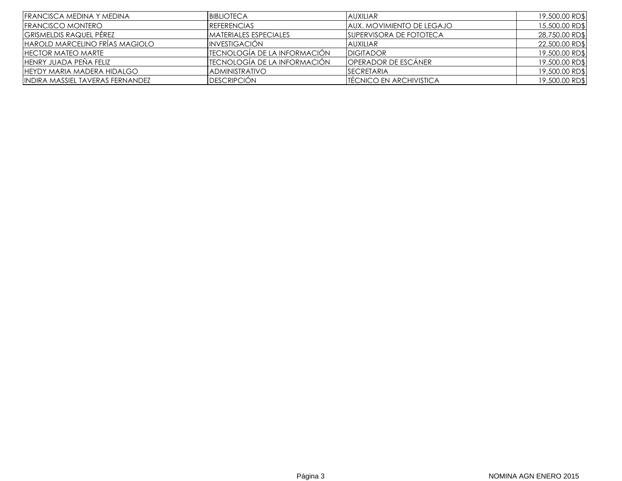| <b>IFRANCISCA MEDINA Y MEDINA</b> | <b>BIBLIOTECA</b>             | <b>AUXILIAR</b>                   | 19,500.00 RD\$ |
|-----------------------------------|-------------------------------|-----------------------------------|----------------|
| <b>IFRANCISCO MONTERO</b>         | <b>IREFERENCIAS</b>           | <b>JAUX. MOVIMIENTO DE LEGAJO</b> | 15,500.00 RD\$ |
| <b>GRISMELDIS RAQUEL PÉREZ</b>    | <b>IMATERIALES ESPECIALES</b> | <b>ISUPERVISORA DE FOTOTECA</b>   | 28,750.00 RD\$ |
| HAROLD MARCELINO FRÍAS MAGIOLO    | INVESTIGACIÓN                 | <b>AUXILIAR</b>                   | 22,500.00 RD\$ |
| <b>IHECTOR MATEO MARTE</b>        | ITECNOLOGIA DE LA INFORMACIÓN | <b>DIGITADOR</b>                  | 19,500.00 RD\$ |
| IHENRY JUADA PEÑA FELIZ           | ITECNOLOGIA DE LA INFORMACIÓN | <b>OPERADOR DE ESCÁNER</b>        | 19,500.00 RD\$ |
| IHEYDY MARIA MADERA HIDALGO       | <b>IADMINISTRATIVO</b>        | <b>ISECRETARIA</b>                | 19,500.00 RD\$ |
| IINDIRA MASSIEL TAVERAS FERNANDEZ | <b>DESCRIPCIÓN</b>            | <b>TECNICO EN ARCHIVISTICA</b>    | 19,500.00 RD\$ |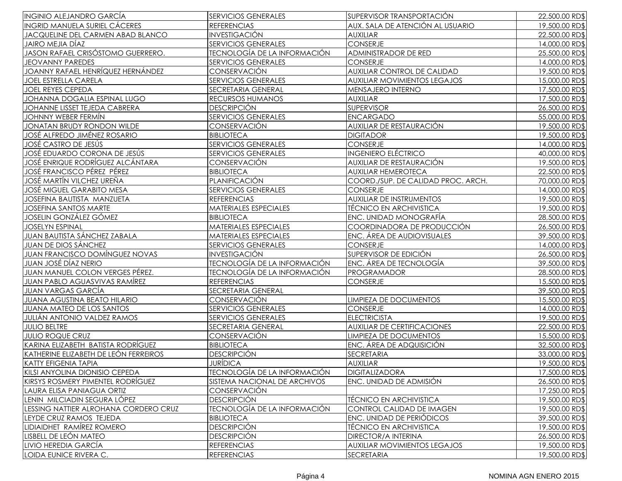| <b>INGINIO ALEJANDRO GARCÍA</b>          | <b>SERVICIOS GENERALES</b><br>SUPERVISOR TRANSPORTACIÓN     |                                     | 22,500.00 RD\$                   |
|------------------------------------------|-------------------------------------------------------------|-------------------------------------|----------------------------------|
| <b>INGRID MANUELA SURIEL CÁCERES</b>     | <b>REFERENCIAS</b><br>AUX. SALA DE ATENCIÓN AL USUARIO      |                                     | 19,500.00 RD\$                   |
| JACQUELINE DEL CARMEN ABAD BLANCO        | <b>INVESTIGACIÓN</b><br><b>AUXILIAR</b>                     |                                     | 22,500.00 RD\$                   |
| JAIRO MEJIA DÍAZ                         | CONSERJE<br><b>SERVICIOS GENERALES</b>                      |                                     | 14,000.00 RD\$                   |
| JASON RAFAEL CRISÓSTOMO GUERRERO.        | <b>TECNOLOGÍA DE LA INFORMACIÓN</b><br>ADMINISTRADOR DE RED |                                     | 25,500.00 RD\$                   |
| <b>JEOVANNY PAREDES</b>                  | <b>SERVICIOS GENERALES</b>                                  | <b>CONSERJE</b>                     |                                  |
| JOANNY RAFAEL HENRÍQUEZ HERNÁNDEZ        | CONSERVACIÓN                                                | <b>AUXILIAR CONTROL DE CALIDAD</b>  | 19,500.00 RD\$                   |
| <b>JOEL ESTRELLA CARELA</b>              | <b>SERVICIOS GENERALES</b>                                  | AUXILIAR MOVIMIENTOS LEGAJOS        | 15,000.00 RD\$                   |
| JOEL REYES CEPEDA                        | SECRETARIA GENERAL                                          | MENSAJERO INTERNO                   | 17,500.00 RD\$                   |
| JOHANNA DOGALIA ESPINAL LUGO             | <b>RECURSOS HUMANOS</b>                                     | <b>AUXILIAR</b>                     | 17,500.00 RD\$                   |
| JOHANNE LISSET TEJEDA CABRERA            | <b>DESCRIPCIÓN</b>                                          | <b>SUPERVISOR</b>                   | 26,500.00 RD\$                   |
| <b>JOHNNY WEBER FERMÍN</b>               | <b>SERVICIOS GENERALES</b>                                  | <b>ENCARGADO</b>                    | 55,000.00 RD\$                   |
| JONATAN BRUDY RONDON WILDE               | CONSERVACIÓN                                                | AUXILIAR DE RESTAURACIÓN            | 19,500.00 RD\$                   |
| <b>JOSÉ ALFREDO JIMÉNEZ ROSARIO</b>      | <b>BIBLIOTECA</b>                                           | <b>DIGITADOR</b>                    | 19,500.00 RD\$                   |
| JOSÉ CASTRO DE JESÚS                     | <b>SERVICIOS GENERALES</b>                                  | <b>CONSERJE</b>                     | 14,000.00 RD\$                   |
| JOSÉ EDUARDO CORONA DE JESÚS             | <b>SERVICIOS GENERALES</b>                                  | <b>INGENIERO ELÉCTRICO</b>          | 40,000.00 RD\$                   |
| <b>JOSÉ ENRIQUE RODRÍGUEZ ALCÁNTARA</b>  | CONSERVACIÓN                                                | AUXILIAR DE RESTAURACIÓN            | 19,500.00 RD\$                   |
| <b>JOSÉ FRANCISCO PÉREZ PÉREZ</b>        | <b>BIBLIOTECA</b>                                           | AUXILIAR HEMEROTECA                 | 22,500.00 RD\$                   |
| JOSÉ MARTÍN VILCHEZ UREÑA                | PLANIFICACIÓN                                               | COORD./SUP. DE CALIDAD PROC. ARCH.  | 70,000.00 RD\$                   |
| <b>JOSÉ MIGUEL GARABITO MESA</b>         | <b>SERVICIOS GENERALES</b>                                  | CONSERJE                            | 14,000.00 RD\$                   |
| JOSEFINA BAUTISTA MANZUETA               | <b>REFERENCIAS</b>                                          | <b>AUXILIAR DE INSTRUMENTOS</b>     | 19,500.00 RD\$                   |
| <b>JOSEFINA SANTOS MARTE</b>             | <b>MATERIALES ESPECIALES</b>                                | <b>TÉCNICO EN ARCHIVISTICA</b>      | 19,500.00 RD\$                   |
| <b>JOSELIN GONZÁLEZ GÓMEZ</b>            | <b>BIBLIOTECA</b>                                           | <b>ENC. UNIDAD MONOGRAFÍA</b>       | 28,500.00 RD\$                   |
| <b>JOSELYN ESPINAL</b>                   | <b>MATERIALES ESPECIALES</b>                                | COORDINADORA DE PRODUCCIÓN          | 26,500.00 RD\$                   |
| <b>JUAN BAUTISTA SÁNCHEZ ZABALA</b>      | <b>MATERIALES ESPECIALES</b>                                | ENC. ÁREA DE AUDIOVISUALES          | 39,500.00 RD\$                   |
| <b>JUAN DE DIOS SÁNCHEZ</b>              | <b>SERVICIOS GENERALES</b>                                  | <b>CONSERJE</b>                     |                                  |
| <b>JUAN FRANCISCO DOMÍNGUEZ NOVAS</b>    | <b>INVESTIGACIÓN</b>                                        | SUPERVISOR DE EDICIÓN               |                                  |
| <b>JUAN JOSÉ DÍAZ NERIO</b>              | <b>TECNOLOGÍA DE LA INFORMACIÓN</b>                         | ENC. ÁREA DE TECNOLOGÍA             |                                  |
| JUAN MANUEL COLON VERGES PÉREZ.          | TECNOLOGÍA DE LA INFORMACIÓN                                | PROGRAMADOR                         | 39,500.00 RD\$<br>28,500.00 RD\$ |
| <b>JUAN PABLO AGUASVIVAS RAMÍREZ</b>     | <b>REFERENCIAS</b>                                          | CONSERJE                            | 15,500.00 RD\$                   |
| <b>JUAN VARGAS GARCÍA</b>                | SECRETARIA GENERAL                                          |                                     |                                  |
| <b>JUANA AGUSTINA BEATO HILARIO</b>      | CONSERVACIÓN                                                | LIMPIEZA DE DOCUMENTOS              | 39,500.00 RD\$<br>15,500.00 RD\$ |
| JUANA MATEO DE LOS SANTOS                | <b>SERVICIOS GENERALES</b>                                  | CONSERJE                            | 14,000.00 RD\$                   |
| <b>JULIÁN ANTONIO VALDEZ RAMOS</b>       | <b>SERVICIOS GENERALES</b>                                  | <b>ELECTRICISTA</b>                 | 19,500.00 RD\$                   |
| <b>JULIO BELTRE</b>                      | <b>SECRETARIA GENERAL</b>                                   | <b>AUXILIAR DE CERTIFICACIONES</b>  | 22,500.00 RD\$                   |
| <b>JULIO ROQUE CRUZ</b>                  | CONSERVACIÓN                                                | LIMPIEZA DE DOCUMENTOS              | 15,500.00 RD\$                   |
| KARINA ELIZABETH BATISTA RODRÍGUEZ       | <b>BIBLIOTECA</b>                                           | ENC. ÁREA DE ADQUISICIÓN            | 32,500.00 RD\$                   |
| KATHERINE ELIZABETH DE LEÓN FERREIROS    | <b>DESCRIPCIÓN</b>                                          | <b>SECRETARIA</b>                   | 33,000.00 RD\$                   |
| <b>KATTY EFIGENIA TAPIA</b>              | JURÍDICA                                                    | AUXILIAR                            | 19,500.00 RD\$                   |
| KILSI ANYOLINA DIONISIO CEPEDA           | TECNOLOGÍA DE LA INFORMACIÓN                                | <b>DIGITALIZADORA</b>               | 17,500.00 RD\$                   |
| <b>KIRSYS ROSMERY PIMENTEL RODRÍGUEZ</b> | SISTEMA NACIONAL DE ARCHIVOS                                | ENC. UNIDAD DE ADMISIÓN             | 26,500.00 RD\$                   |
| LAURA ELISA PANIAGUA ORTIZ               | CONSERVACIÓN                                                |                                     | 17,250.00 RD\$                   |
| LENIN MILCIADIN SEGURA LÓPEZ             | <b>DESCRIPCIÓN</b>                                          | TÉCNICO EN ARCHIVISTICA             | 19,500.00 RD\$                   |
| LESSING NATTIER ALROHANA CORDERO CRUZ    | <b>TECNOLOGÍA DE LA INFORMACIÓN</b>                         | CONTROL CALIDAD DE IMAGEN           | 19,500.00 RD\$                   |
| LEYDE CRUZ RAMOS TEJEDA                  | <b>BIBLIOTECA</b>                                           | ENC. UNIDAD DE PERIÓDICOS           | 39,500.00 RD\$                   |
| LIDIAIDHET RAMÍREZ ROMERO                | <b>DESCRIPCIÓN</b>                                          | <b>TÉCNICO EN ARCHIVISTICA</b>      | 19,500.00 RD\$                   |
| LISBELL DE LEÓN MATEO                    | <b>DESCRIPCIÓN</b>                                          | <b>DIRECTOR/A INTERINA</b>          | 26,500.00 RD\$                   |
| LIVIO HEREDIA GARCÍA                     | <b>REFERENCIAS</b>                                          | <b>AUXILIAR MOVIMIENTOS LEGAJOS</b> | 19,500.00 RD\$                   |
| LOIDA EUNICE RIVERA C.                   | <b>REFERENCIAS</b>                                          | <b>SECRETARIA</b>                   | 19,500.00 RD\$                   |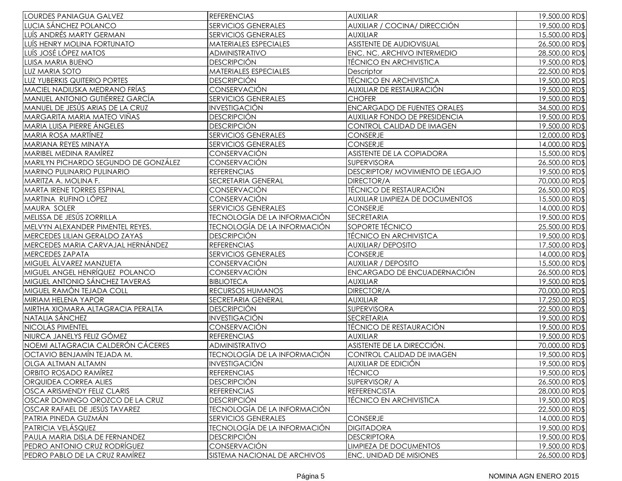| <b>LOURDES PANIAGUA GALVEZ</b>       | <b>REFERENCIAS</b>                                       | <b>AUXILIAR</b>                        | 19,500.00 RD\$                   |
|--------------------------------------|----------------------------------------------------------|----------------------------------------|----------------------------------|
| LUCIA SÁNCHEZ POLANCO                | SERVICIOS GENERALES                                      | AUXILIAR / COCINA/ DIRECCIÓN           | 19,500.00 RD\$                   |
| LUÍS ANDRÉS MARTY GERMAN             | <b>SERVICIOS GENERALES</b><br><b>AUXILIAR</b>            |                                        | 15,500.00 RD\$                   |
| LUÍS HENRY MOLINA FORTUNATO          | MATERIALES ESPECIALES<br><b>ASISTENTE DE AUDIOVISUAL</b> |                                        | 26,500.00 RD\$                   |
| LUÍS JOSÉ LÓPEZ MATOS                | ADMINISTRATIVO                                           | ENC. NC. ARCHIVO INTERMEDIO            | 28,500.00 RD\$                   |
| <b>LUISA MARIA BUENO</b>             | <b>DESCRIPCIÓN</b>                                       | <b>TÉCNICO EN ARCHIVISTICA</b>         | 19,500.00 RD\$                   |
| LUZ MARIA SOTO                       | MATERIALES ESPECIALES                                    | Descriptor                             | 22,500.00 RD\$                   |
| LUZ YUBERKIS QUITERIO PORTES         | <b>DESCRIPCIÓN</b>                                       | <b>TÉCNICO EN ARCHIVISTICA</b>         | 19,500.00 RD\$                   |
| <b>MACIEL NADIUSKA MEDRANO FRÍAS</b> | CONSERVACIÓN                                             | AUXILIAR DE RESTAURACIÓN               | 19,500.00 RD\$                   |
| MANUEL ANTONIO GUTIÉRREZ GARCÍA      | <b>SERVICIOS GENERALES</b>                               | <b>CHOFER</b>                          | 19,500.00 RD\$                   |
| MANUEL DE JESÚS ARIAS DE LA CRUZ     | <b>INVESTIGACIÓN</b>                                     | <b>ENCARGADO DE FUENTES ORALES</b>     | 34,500.00 RD\$                   |
| MARGARITA MARIA MATEO VIÑAS          | <b>DESCRIPCIÓN</b>                                       | <b>AUXILIAR FONDO DE PRESIDENCIA</b>   | 19,500.00 RD\$                   |
| MARIA LUISA PIERRE ÁNGELES           | <b>DESCRIPCIÓN</b>                                       | CONTROL CALIDAD DE IMAGEN              | 19,500.00 RD\$                   |
| <b>MARIA ROSA MARTÍNEZ</b>           | <b>SERVICIOS GENERALES</b>                               | <b>CONSERJE</b>                        | 12,000.00 RD\$                   |
| MARIANA REYES MINAYA                 | <b>SERVICIOS GENERALES</b>                               | CONSERJE                               | 14,000.00 RD\$                   |
| <b>MARIBEL MEDINA RAMÍREZ</b>        | CONSERVACIÓN                                             | ASISTENTE DE LA COPIADORA              | 15,500.00 RD\$                   |
| MARILYN PICHARDO SEGUNDO DE GONZÁLEZ | CONSERVACIÓN                                             | SUPERVISORA                            | 26,500.00 RD\$                   |
| MARINO PULINARIO PULINARIO           | <b>REFERENCIAS</b>                                       | DESCRIPTOR/ MOVIMIENTO DE LEGAJO       | 19,500.00 RD\$                   |
| MARITZA A. MOLINA F.                 | <b>SECRETARIA GENERAL</b>                                | DIRECTOR/A                             | 70,000.00 RD\$                   |
| <b>MARTA IRENE TORRES ESPINAL</b>    | CONSERVACIÓN                                             | TÉCNICO DE RESTAURACIÓN                | 26,500.00 RD\$                   |
| MARTINA RUFINO LÓPEZ                 | CONSERVACIÓN                                             | <b>AUXILIAR LIMPIEZA DE DOCUMENTOS</b> | 15,500.00 RD\$                   |
| MAURA SOLER                          | <b>SERVICIOS GENERALES</b>                               | <b>CONSERJE</b>                        | 14,000.00 RD\$                   |
| MELISSA DE JESÚS ZORRILLA            | <b>TECNOLOGÍA DE LA INFORMACIÓN</b>                      | <b>SECRETARIA</b>                      | 19,500.00 RD\$                   |
| MELVYN ALEXANDER PIMENTEL REYES.     | TECNOLOGÍA DE LA INFORMACIÓN                             | SOPORTE TÉCNICO                        | 25,500.00 RD\$                   |
| MERCEDES LILIAN GERALDO ZAYAS        | <b>DESCRIPCIÓN</b>                                       | <b>TÉCNICO EN ARCHIVISTCA</b>          | 19,500.00 RD\$                   |
| MERCEDES MARIA CARVAJAL HERNÁNDEZ    | <b>REFERENCIAS</b>                                       | <b>AUXILIAR/ DEPOSITO</b>              | 17,500.00 RD\$                   |
| MERCEDES ZAPATA                      | <b>SERVICIOS GENERALES</b>                               | <b>CONSERJE</b>                        |                                  |
| MIGUEL ÁLVAREZ MANZUETA              | CONSERVACIÓN                                             | <b>AUXILIAR / DEPOSITO</b>             |                                  |
| MIGUEL ANGEL HENRÍQUEZ POLANCO       | CONSERVACIÓN                                             | ENCARGADO DE ENCUADERNACIÓN            |                                  |
| MIGUEL ANTONIO SÁNCHEZ TAVERAS       | <b>BIBLIOTECA</b>                                        | <b>AUXILIAR</b>                        | 26,500.00 RD\$<br>19,500.00 RD\$ |
| MIGUEL RAMÓN TEJADA COLL             | RECURSOS HUMANOS                                         | DIRECTOR/A                             | 70,000.00 RD\$                   |
| <b>MIRIAM HELENA YAPOR</b>           | SECRETARIA GENERAL                                       | <b>AUXILIAR</b>                        | 17,250.00 RD\$                   |
| MIRTHA XIOMARA ALTAGRACIA PERALTA    | <b>DESCRIPCIÓN</b>                                       | <b>SUPERVISORA</b>                     | 22,500.00 RD\$                   |
| NATALIA SÁNCHEZ                      | <b>INVESTIGACIÓN</b>                                     | <b>SECRETARIA</b>                      | 19,500.00 RD\$                   |
| NICOLÁS PIMENTEL                     | CONSERVACIÓN                                             | TÉCNICO DE RESTAURACIÓN                | 19,500.00 RD\$                   |
| NIURCA JANELYS FELIZ GÓMEZ           | <b>REFERENCIAS</b>                                       | <b>AUXILIAR</b>                        | 19,500.00 RD\$                   |
| NOEMI ALTAGRACIA CALDERÓN CÁCERES    | ADMINISTRATIVO                                           | ASISTENTE DE LA DIRECCIÓN.             | 70,000.00 RD\$                   |
| OCTAVIO BENJAMÍN TEJADA M.           | <b>TECNOLOGÍA DE LA INFORMACIÓN</b>                      | CONTROL CALIDAD DE IMAGEN              | 19,500.00 RD\$                   |
| OLGA ALTMAN ALTAMN                   | <b>INVESTIGACIÓN</b>                                     | AUXILIAR DE EDICIÓN                    | 19,500.00 RD\$                   |
| <b>ORBITO ROSADO RAMÍREZ</b>         | <b>REFERENCIAS</b>                                       | <b>TÉCNICO</b>                         | 19,500.00 RD\$                   |
| <b>ORQUIDEA CORREA ALIES</b>         | <b>DESCRIPCIÓN</b>                                       | SUPERVISOR/ A                          | 26,500.00 RD\$                   |
| <b>OSCA ARISMENDY FELIZ CLARIS</b>   | <b>REFERENCIAS</b>                                       | <b>REFERENCISTA</b>                    | 28,000.00 RD\$                   |
| OSCAR DOMINGO OROZCO DE LA CRUZ      | <b>DESCRIPCIÓN</b>                                       | <b>TÉCNICO EN ARCHIVISTICA</b>         | 19,500.00 RD\$                   |
| OSCAR RAFAEL DE JESÚS TAVAREZ        | TECNOLOGÍA DE LA INFORMACIÓN                             |                                        | 22,500.00 RD\$                   |
| PATRIA PINEDA GUZMÁN                 | <b>SERVICIOS GENERALES</b>                               | <b>CONSERJE</b>                        | 14,000.00 RD\$                   |
| PATRICIA VELÁSQUEZ                   | TECNOLOGÍA DE LA INFORMACIÓN                             | <b>DIGITADORA</b>                      | 19,500.00 RD\$                   |
| PAULA MARIA DISLA DE FERNANDEZ       | <b>DESCRIPCIÓN</b>                                       | <b>DESCRIPTORA</b>                     | 19,500.00 RD\$                   |
| PEDRO ANTONIO CRUZ RODRÍGUEZ         | CONSERVACIÓN                                             | LIMPIEZA DE DOCUMENTOS                 | 19,500.00 RD\$                   |
| PEDRO PABLO DE LA CRUZ RAMÍREZ       | SISTEMA NACIONAL DE ARCHIVOS                             | ENC. UNIDAD DE MISIONES                | 26,500.00 RD\$                   |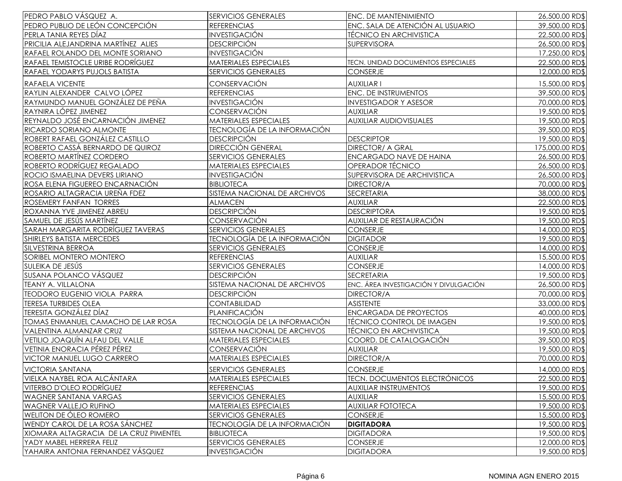| PEDRO PABLO VÁSQUEZ A.                 | <b>SERVICIOS GENERALES</b>                             | <b>ENC. DE MANTENIMIENTO</b>          | 26,500.00 RD\$  |
|----------------------------------------|--------------------------------------------------------|---------------------------------------|-----------------|
| PEDRO PUBLIO DE LEÓN CONCEPCIÓN        | ENC. SALA DE ATENCIÓN AL USUARIO<br><b>REFERENCIAS</b> |                                       | 39,500.00 RD\$  |
| PERLA TANIA REYES DÍAZ                 | <b>INVESTIGACIÓN</b><br>TÉCNICO EN ARCHIVISTICA        |                                       | 22,500.00 RD\$  |
| PRICILIA ALEJANDRINA MARTÍNEZ ALIES    | <b>DESCRIPCIÓN</b><br><b>SUPERVISORA</b>               |                                       | 26,500.00 RD\$  |
| RAFAEL ROLANDO DEL MONTE SORIANO       | <b>INVESTIGACIÓN</b>                                   |                                       | 17,250.00 RD\$  |
| RAFAEL TEMISTOCLE URIBE RODRÍGUEZ      | <b>MATERIALES ESPECIALES</b>                           | TECN. UNIDAD DOCUMENTOS ESPECIALES    |                 |
| RAFAEL YODARYS PUJOLS BATISTA          | <b>SERVICIOS GENERALES</b>                             | <b>CONSERJE</b>                       | 12,000.00 RD\$  |
| RAFAELA VICENTE                        | CONSERVACIÓN                                           | <b>AUXILIAR I</b>                     | 15,500.00 RD\$  |
| RAYLIN ALEXANDER CALVO LÓPEZ           | <b>REFERENCIAS</b>                                     | <b>ENC. DE INSTRUMENTOS</b>           | 39,500.00 RD\$  |
| RAYMUNDO MANUEL GONZÁLEZ DE PEÑA       | <b>INVESTIGACIÓN</b>                                   | <b>INVESTIGADOR Y ASESOR</b>          | 70,000.00 RD\$  |
| RAYNIRA LÓPEZ JIMENEZ                  | <b>CONSERVACIÓN</b>                                    | <b>AUXILIAR</b>                       | 19,500.00 RD\$  |
| REYNALDO JOSÉ ENCARNACIÓN JIMENEZ      | <b>MATERIALES ESPECIALES</b>                           | <b>AUXILIAR AUDIOVISUALES</b>         | 19,500.00 RD\$  |
| <b>RICARDO SORIANO ALMONTE</b>         | <b>TECNOLOGÍA DE LA INFORMACIÓN</b>                    |                                       | 39,500.00 RD\$  |
| ROBERT RAFAEL GONZÁLEZ CASTILLO        | <b>DESCRIPCIÓN</b>                                     | <b>DESCRIPTOR</b>                     | 19,500.00 RD\$  |
| ROBERTO CASSÁ BERNARDO DE QUIROZ       | <b>DIRECCIÓN GENERAL</b>                               | <b>DIRECTOR/ A GRAL</b>               | 175,000.00 RD\$ |
| ROBERTO MARTÍNEZ CORDERO               | <b>SERVICIOS GENERALES</b>                             | ENCARGADO NAVE DE HAINA               | 26,500.00 RD\$  |
| ROBERTO RODRÍGUEZ REGALADO             | <b>MATERIALES ESPECIALES</b>                           | OPERADOR TÉCNICO                      | 26,500.00 RD\$  |
| ROCIO ISMAELINA DEVERS LIRIANO         | <b>INVESTIGACIÓN</b>                                   | SUPERVISORA DE ARCHIVISTICA           | 26,500.00 RD\$  |
| ROSA ELENA FIGUEREO ENCARNACIÓN        | <b>BIBLIOTECA</b>                                      | <b>DIRECTOR/A</b>                     | 70,000.00 RD\$  |
| ROSARIO ALTAGRACIA UREÑA FDEZ          | SISTEMA NACIONAL DE ARCHIVOS                           | <b>SECRETARIA</b>                     | 38,000.00 RD\$  |
| ROSEMERY FANFAN TORRES                 | <b>ALMACEN</b>                                         | <b>AUXILIAR</b>                       | 22,500.00 RD\$  |
| ROXANNA YVE JIMENEZ ABREU              | <b>DESCRIPCIÓN</b>                                     | <b>DESCRIPTORA</b>                    | 19,500.00 RD\$  |
| SAMUEL DE JESÚS MARTÍNEZ               | <b>CONSERVACIÓN</b>                                    | AUXILIAR DE RESTAURACIÓN              | 19,500.00 RD\$  |
| SARAH MARGARITA RODRÍGUEZ TAVERAS      | <b>SERVICIOS GENERALES</b>                             | <b>CONSERJE</b>                       | 14,000.00 RD\$  |
| SHIRLEYS BATISTA MERCEDES              | TECNOLOGÍA DE LA INFORMACIÓN                           | <b>DIGITADOR</b>                      | 19,500.00 RD\$  |
| SILVESTRINA BERROA                     | <b>SERVICIOS GENERALES</b>                             | CONSERJE                              | 14,000.00 RD\$  |
| SORIBEL MONTERO MONTERO                | <b>REFERENCIAS</b>                                     | <b>AUXILIAR</b>                       | 15,500.00 RD\$  |
| SULEIKA DE JESÚS                       | <b>SERVICIOS GENERALES</b>                             | CONSERJE                              | 14,000.00 RD\$  |
| SUSANA POLANCO VÁSQUEZ                 | <b>DESCRIPCIÓN</b>                                     | <b>SECRETARIA</b>                     | 19,500.00 RD\$  |
| TEANY A. VILLALONA                     | SISTEMA NACIONAL DE ARCHIVOS                           | ENC. ÁREA INVESTIGACIÓN Y DIVULGACIÓN | 26,500.00 RD\$  |
| <b>TEODORO EUGENIO VIOLA PARRA</b>     | <b>DESCRIPCIÓN</b>                                     | DIRECTOR/A                            | 70,000.00 RD\$  |
| <b>TERESA TURBIDES OLEA</b>            | <b>CONTABILIDAD</b>                                    | <b>ASISTENTE</b>                      | 33,000.00 RD\$  |
| <b>TERESITA GONZÁLEZ DÍAZ</b>          | <b>PLANIFICACIÓN</b>                                   | <b>ENCARGADA DE PROYECTOS</b>         | 40,000.00 RD\$  |
| TOMAS ENMANUEL CAMACHO DE LAR ROSA     | <b>TECNOLOGÍA DE LA INFORMACIÓN</b>                    | TÉCNICO CONTROL DE IMAGEN             | 19,500.00 RD\$  |
| <b>VALENTINA ALMANZAR CRUZ</b>         | SISTEMA NACIONAL DE ARCHIVOS                           | <b>TÉCNICO EN ARCHIVISTICA</b>        | 19,500.00 RD\$  |
| VETILIO JOAQUÍN ALFAU DEL VALLE        | MATERIALES ESPECIALES                                  | COORD. DE CATALOGACIÓN                | 39,500.00 RD\$  |
| <b>VETINIA ENORACIA PÉREZ PÉREZ</b>    | CONSERVACIÓN                                           | <b>AUXILIAR</b>                       | 19,500.00 RD\$  |
| VICTOR MANUEL LUGO CARRERO             | <b>MATERIALES ESPECIALES</b>                           | DIRECTOR/A                            | 70,000.00 RD\$  |
| <b>VICTORIA SANTANA</b>                | SERVICIOS GENERALES                                    | <b>CONSERJE</b>                       | 14,000.00 RD\$  |
| VIELKA NAYBEL ROA ALCÁNTARA            | MATERIALES ESPECIALES                                  | TECN. DOCUMENTOS ELECTRÓNICOS         | 22,500.00 RD\$  |
| VITERBO D'OLEO RODRÍGUEZ               | <b>REFERENCIAS</b>                                     | <b>AUXILIAR INSTRUMENTOS</b>          | 19,500.00 RD\$  |
| <b>WAGNER SANTANA VARGAS</b>           | <b>SERVICIOS GENERALES</b>                             | <b>AUXILIAR</b>                       | 15,500.00 RD\$  |
| <b>WAGNER VALLEJO RUFINO</b>           | <b>MATERIALES ESPECIALES</b>                           | <b>AUXILIAR FOTOTECA</b>              | 19,500.00 RD\$  |
| <b>WELITON DE ÓLEO ROMERO</b>          | <b>SERVICIOS GENERALES</b>                             | <b>CONSERJE</b>                       | 15,500.00 RD\$  |
| WENDY CAROL DE LA ROSA SÁNCHEZ         | TECNOLOGÍA DE LA INFORMACIÓN                           | <b>DIGITADORA</b>                     | 19,500.00 RD\$  |
| XIOMARA ALTAGRACIA DE LA CRUZ PIMENTEL | <b>BIBLIOTECA</b>                                      | <b>DIGITADORA</b>                     | 19,500.00 RD\$  |
| YADY MABEL HERRERA FELIZ               | <b>SERVICIOS GENERALES</b>                             | <b>CONSERJE</b>                       | 12,000.00 RD\$  |
| YAHAIRA ANTONIA FERNANDEZ VÁSQUEZ      | <b>INVESTIGACIÓN</b>                                   | <b>DIGITADORA</b>                     | 19,500.00 RD\$  |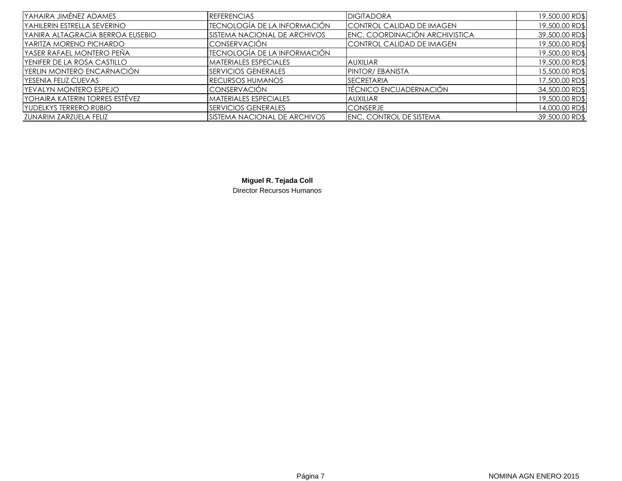| YAHAIRA JIMÉNEZ ADAMES           | <b>REFERENCIAS</b>           | <b>DIGITADORA</b>                | 19,500.00 RD\$ |
|----------------------------------|------------------------------|----------------------------------|----------------|
| IYAHILERIN ESTRELLA SEVERINO     | IECNOLOGÍA DE LA INFORMACIÓN | <b>CONTROL CALIDAD DE IMAGEN</b> | 19,500.00 RD\$ |
| YANIRA ALTAGRACIA BERROA EUSEBIO | SISTEMA NACIONAL DE ARCHIVOS | ENC. COORDINACIÓN ARCHIVISTICA   | 39,500.00 RD\$ |
| IYARITZA MORENO PICHARDO         | <b>CONSERVACIÓN</b>          | CONTROL CALIDAD DE IMAGEN        | 19,500.00 RD\$ |
| YASER RAFAEL MONTERO PEÑA        | TECNOLOGÍA DE LA INFORMACIÓN |                                  | 19,500.00 RD\$ |
| YENIFER DE LA ROSA CASTILLO      | <b>MATERIALES ESPECIALES</b> | <b>AUXILIAR</b>                  | 19,500.00 RD\$ |
| YERLIN MONTERO ENCARNACIÓN       | <b>SERVICIOS GENERALES</b>   | <b>PINTOR/EBANISTA</b>           | 15,500.00 RD\$ |
| YESENIA FELIZ CUEVAS             | <b>IRECURSOS HUMANOS</b>     | <b>SECRETARIA</b>                | 17,500.00 RD\$ |
| YEVALYN MONTERO ESPEJO           | <b>CONSERVACIÓN</b>          | <b>ITÉCNICO ENCUADERNACIÓN</b>   | 34,500.00 RD\$ |
| Iyohaira katerin torres estévez  | <b>MATERIALES ESPECIALES</b> | <b>AUXILIAR</b>                  | 19,500.00 RD\$ |
| YUDELKYS TERRERO RUBIO           | <b>SERVICIOS GENERALES</b>   | <b>CONSERJE</b>                  | 14,000.00 RD\$ |
| ZUNARIM ZARZUELA FELIZ           | SISTEMA NACIONAL DE ARCHIVOS | <b>IENC. CONTROL DE SISTEMA</b>  | 39,500.00 RD\$ |

**Miguel R. Tejada Coll** Director Recursos Humanos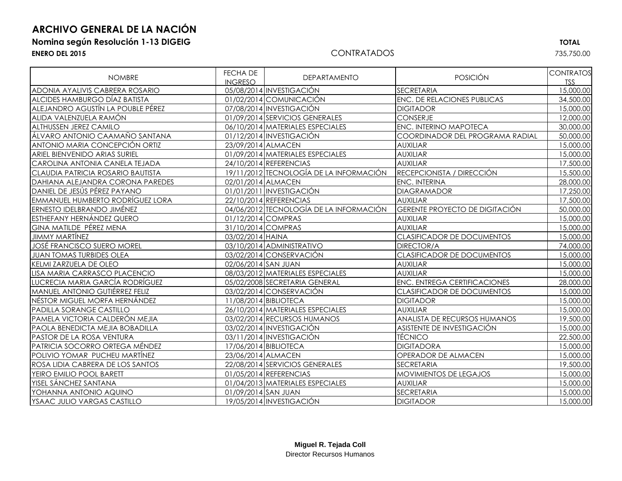## **ARCHIVO GENERAL DE LA NACIÓN**

### **Nomina según Resolución 1-13 DIGEIG TOTAL**

#### **ENERO DEL 2015** CONTRATADOS 735,750.00

| <b>NOMBRE</b>                            | FECHA DE<br><b>INGRESO</b> | <b>DEPARTAMENTO</b>                     | <b>POSICIÓN</b>                       | <b>CONTRATOS</b><br><b>TSS</b> |
|------------------------------------------|----------------------------|-----------------------------------------|---------------------------------------|--------------------------------|
| ADONIA AYALIVIS CABRERA ROSARIO          |                            | 05/08/2014 INVESTIGACIÓN                | <b>SECRETARIA</b>                     | 15,000.00                      |
| <b>ALCIDES HAMBURGO DÍAZ BATISTA</b>     |                            | 01/02/2014 COMUNICACIÓN                 | <b>ENC. DE RELACIONES PUBLICAS</b>    | 34,500.00                      |
| ALEJANDRO AGUSTÍN LA POUBLE PÉREZ        |                            | 07/08/2014 INVESTIGACIÓN                | <b>DIGITADOR</b>                      | 15,000.00                      |
| ALIDA VALENZUELA RAMÓN                   |                            | 01/09/2014 SERVICIOS GENERALES          | <b>CONSERJE</b>                       | 12,000.00                      |
| <b>ALTHUSSEN JEREZ CAMILO</b>            |                            | 06/10/2014 MATERIALES ESPECIALES        | ENC. INTERINO MAPOTECA                | 30,000.00                      |
| ÁLVARO ANTONIO CAAMAÑO SANTANA           |                            | 01/12/2014 INVESTIGACIÓN                | COORDINADOR DEL PROGRAMA RADIAL       | 50,000.00                      |
| ANTONIO MARIA CONCEPCIÓN ORTIZ           | 23/09/2014 ALMACEN         |                                         | <b>AUXILIAR</b>                       | 15,000.00                      |
| <b>ARIEL BIENVENIDO ARIAS SURIEL</b>     |                            | 01/09/2014 MATERIALES ESPECIALES        | <b>AUXILIAR</b>                       | 15,000.00                      |
| CAROLINA ANTONIA CANELA TEJADA           |                            | 24/10/2014 REFERENCIAS                  | <b>AUXILIAR</b>                       | 17,500.00                      |
| <b>CLAUDIA PATRICIA ROSARIO BAUTISTA</b> |                            | 19/11/2012 TECNOLOGÍA DE LA INFORMACIÓN | RECEPCIONISTA / DIRECCIÓN             | 15,500.00                      |
| DAHIANA ALEJANDRA CORONA PAREDES         | 02/01/2014 ALMACEN         |                                         | <b>ENC. INTERINA</b>                  | 28,000.00                      |
| DANIEL DE JESÚS PÉREZ PAYANO             |                            | 01/01/2011 INVESTIGACIÓN                | <b>DIAGRAMADOR</b>                    | 17,250.00                      |
| <b>EMMANUEL HUMBERTO RODRÍGUEZ LORA</b>  |                            | 22/10/2014 REFERENCIAS                  | <b>AUXILIAR</b>                       | 17,500.00                      |
| <b>ERNESTO IDELBRANDO JIMÉNEZ</b>        |                            | 04/06/2012 TECNOLOGÍA DE LA INFORMACIÓN | <b>GERENTE PROYECTO DE DIGITACIÓN</b> | 50,000.00                      |
| <b>ESTHEFANY HERNÁNDEZ QUERO</b>         | 01/12/2014 COMPRAS         |                                         | <b>AUXILIAR</b>                       | 15,000.00                      |
| GINA MATILDE PÉREZ MENA                  | 31/10/2014 COMPRAS         |                                         | <b>AUXILIAR</b>                       | 15,000.00                      |
| <b>JIMMY MARTÍNEZ</b>                    | 03/02/2014 HAINA           |                                         | <b>CLASIFICADOR DE DOCUMENTOS</b>     | 15,000.00                      |
| <b>JOSÉ FRANCISCO SUERO MOREL</b>        |                            | 03/10/2014 ADMINISTRATIVO               | DIRECTOR/A                            | 74,000.00                      |
| <b>JUAN TOMAS TURBIDES OLEA</b>          |                            | 03/02/2014 CONSERVACIÓN                 | <b>CLASIFICADOR DE DOCUMENTOS</b>     | 15,000.00                      |
| KELMI ZARZUELA DE OLEO                   | 02/06/2014 SAN JUAN        |                                         | <b>AUXILIAR</b>                       | 15,000.00                      |
| LISA MARIA CARRASCO PLACENCIO            |                            | 08/03/2012 MATERIALES ESPECIALES        | <b>AUXILIAR</b>                       | 15,000.00                      |
| LUCRECIA MARIA GARCÍA RODRÍGUEZ          |                            | 05/02/2008 SECRETARIA GENERAL           | <b>ENC. ENTREGA CERTIFICACIONES</b>   | 28,000.00                      |
| <b>MANUEL ANTONIO GUTIÉRREZ FELIZ</b>    |                            | 03/02/2014 CONSERVACIÓN                 | <b>CLASIFICADOR DE DOCUMENTOS</b>     | 15,000.00                      |
| NÉSTOR MIGUEL MORFA HERNÁNDEZ            |                            | 11/08/2014 BIBLIOTECA                   | <b>DIGITADOR</b>                      | 15,000.00                      |
| PADILLA SORANGE CASTILLO                 |                            | 26/10/2014 MATERIALES ESPECIALES        | <b>AUXILIAR</b>                       | 15,000.00                      |
| PAMELA VICTORIA CALDERÓN MEJIA           |                            | 03/02/2014 RECURSOS HUMANOS             | ANALISTA DE RECURSOS HUMANOS          | 19,500.00                      |
| PAOLA BENEDICTA MEJIA BOBADILLA          |                            | 03/02/2014 INVESTIGACIÓN                | ASISTENTE DE INVESTIGACIÓN            | 15,000.00                      |
| PASTOR DE LA ROSA VENTURA                |                            | 03/11/2014 INVESTIGACIÓN                | <b>TÉCNICO</b>                        | 22,500.00                      |
| PATRICIA SOCORRO ORTEGA MÉNDEZ           |                            | 17/06/2014 BIBLIOTECA                   | <b>DIGITADORA</b>                     | 15,000.00                      |
| POLIVIO YOMAR PUCHEU MARTÍNEZ            | 23/06/2014 ALMACEN         |                                         | OPERADOR DE ALMACEN                   | 15,000.00                      |
| ROSA LIDIA CABRERA DE LOS SANTOS         |                            | 22/08/2014 SERVICIOS GENERALES          | <b>SECRETARIA</b>                     | 19,500.00                      |
| YEIRO EMILIO POOL BARETT                 |                            | 01/05/2014 REFERENCIAS                  | <b>MOVIMIENTOS DE LEGAJOS</b>         | 15,000.00                      |
| Iyisel sánchez santana                   |                            | 01/04/2013 MATERIALES ESPECIALES        | <b>AUXILIAR</b>                       | 15,000.00                      |
| YOHANNA ANTONIO AQUINO                   | 01/09/2014 SAN JUAN        |                                         | <b>SECRETARIA</b>                     | 15,000.00                      |
| YSAAC JULIO VARGAS CASTILLO              |                            | 19/05/2014 INVESTIGACIÓN                | <b>DIGITADOR</b>                      | 15,000.00                      |